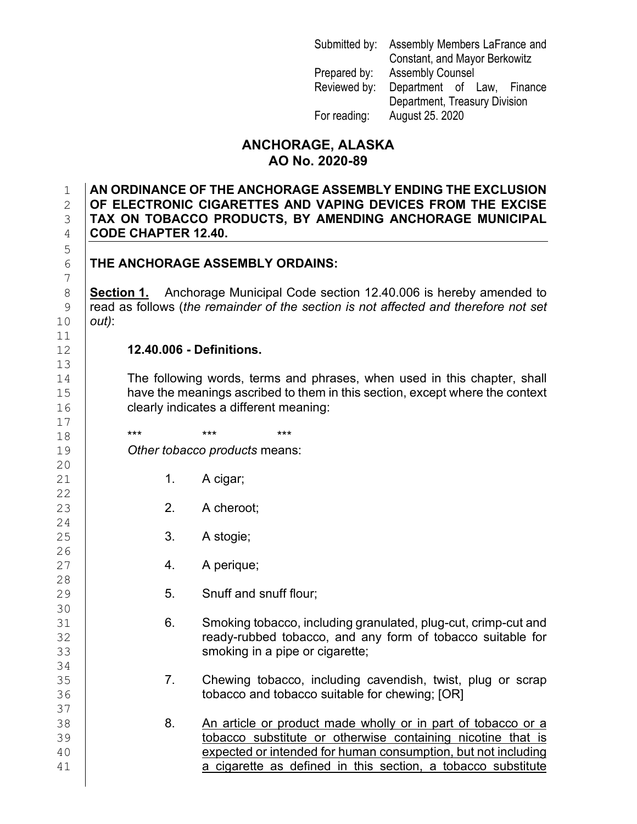| Submitted by: | Assembly Members LaFrance and |  |
|---------------|-------------------------------|--|
|               | Constant, and Mayor Berkowitz |  |
| Prepared by:  | <b>Assembly Counsel</b>       |  |
| Reviewed by:  | Department of Law, Finance    |  |
|               | Department, Treasury Division |  |
| For reading:  | August 25. 2020               |  |

## **ANCHORAGE, ALASKA AO No. 2020-89**

 **AN ORDINANCE OF THE ANCHORAGE ASSEMBLY ENDING THE EXCLUSION OF ELECTRONIC CIGARETTES AND VAPING DEVICES FROM THE EXCISE TAX ON TOBACCO PRODUCTS, BY AMENDING ANCHORAGE MUNICIPAL CODE CHAPTER 12.40.** 

## **THE ANCHORAGE ASSEMBLY ORDAINS:**

8 **Section 1.** Anchorage Municipal Code section 12.40.006 is hereby amended to read as follows (the remainder of the section is not affected and therefore not set 9 read as follows (*the remainder of the section is not affected and therefore not set*  10 *out)*:

## 12 **12.40.006 - Definitions.**

14 The following words, terms and phrases, when used in this chapter, shall 15 have the meanings ascribed to them in this section, except where the context<br>16 clearly indicates a different meaning: clearly indicates a different meaning:

18 **\*\*\* \*\*\* \*\*\* \*\*\*** 19 *Other tobacco products* means:

- 1. A cigar;
- 2. A cheroot;
- 25 3. A stogie;
	- 4. A perique;
	- 5. Snuff and snuff flour;
- 31 6. Smoking tobacco, including granulated, plug-cut, crimp-cut and<br>32 **6.** Geody-rubbed tobacco, and any form of tobacco suitable for 32 **ready-rubbed tobacco, and any form of tobacco suitable for**<br>33 **smoking in a pipe or cigarette:** smoking in a pipe or cigarette;
- 35 7. Chewing tobacco, including cavendish, twist, plug or scrap<br>36 **1. The Mark of the control of the control of the control of the control of the control of the control of** tobacco and tobacco suitable for chewing; [OR]
- 38 8. An article or product made wholly or in part of tobacco or a<br>39 8. Cobacco substitute or otherwise containing nicotine that is 39 (39 tobacco substitute or otherwise containing nicotine that is<br>40 degree of the expected or intended for human consumption, but not including 40 expected or intended for human consumption, but not including<br>41 a cigarette as defined in this section, a tobacco substitute a cigarette as defined in this section, a tobacco substitute

5 7  $\begin{array}{c} 11 \\ 12 \end{array}$ 13  $\begin{array}{c} 17 \\ 18 \end{array}$  $\begin{array}{c} 20 \\ 21 \end{array}$  $\begin{array}{c} 22 \\ 23 \end{array}$ 24

 $\frac{26}{27}$ 

 $\frac{28}{29}$ 

30<br>31

34<br>35

37<br>38